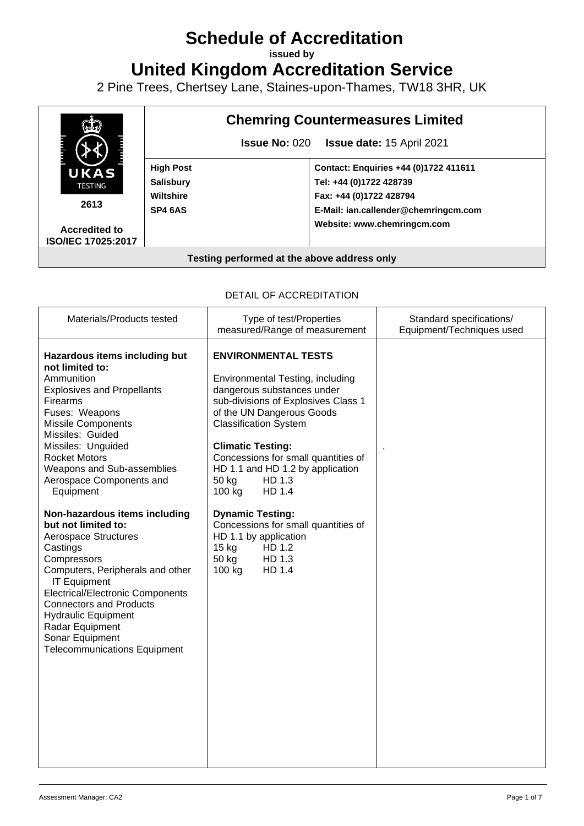# **Schedule of Accreditation**

**issued by**

**United Kingdom Accreditation Service**

2 Pine Trees, Chertsey Lane, Staines-upon-Thames, TW18 3HR, UK



**ISO/IEC 17025:2017**

# **Chemring Countermeasures Limited**

**Issue No:** 020 **Issue date:** 15 April 2021

**Contact: Enquiries +44 (0)1722 411611 Tel: +44 (0)1722 428739 Fax: +44 (0)1722 428794 E-Mail: ian.callender@chemringcm.com Website: www[.chemringcm.](http://www.chemring.co.uk/about-us/our-business/chemring-countermeasures-uk.)com**

#### **Testing performed at the above address only**

#### DETAIL OF ACCREDITATION

| Materials/Products tested                                                                                                                                                                                                                                                                                                                                       | Type of test/Properties<br>measured/Range of measurement                                                                                                                                                                                                                                                                                                                                                         | Standard specifications/<br>Equipment/Techniques used |
|-----------------------------------------------------------------------------------------------------------------------------------------------------------------------------------------------------------------------------------------------------------------------------------------------------------------------------------------------------------------|------------------------------------------------------------------------------------------------------------------------------------------------------------------------------------------------------------------------------------------------------------------------------------------------------------------------------------------------------------------------------------------------------------------|-------------------------------------------------------|
| Hazardous items including but<br>not limited to:<br>Ammunition<br><b>Explosives and Propellants</b><br>Firearms<br>Fuses: Weapons<br><b>Missile Components</b><br>Missiles: Guided<br>Missiles: Unguided<br><b>Rocket Motors</b><br>Weapons and Sub-assemblies<br>Aerospace Components and<br>Equipment<br>Non-hazardous items including<br>but not limited to: | <b>ENVIRONMENTAL TESTS</b><br>Environmental Testing, including<br>dangerous substances under<br>sub-divisions of Explosives Class 1<br>of the UN Dangerous Goods<br><b>Classification System</b><br><b>Climatic Testing:</b><br>Concessions for small quantities of<br>HD 1.1 and HD 1.2 by application<br>HD 1.3<br>50 kg<br>100 kg<br>HD 1.4<br><b>Dynamic Testing:</b><br>Concessions for small quantities of |                                                       |
| <b>Aerospace Structures</b><br>Castings<br>Compressors<br>Computers, Peripherals and other<br><b>IT Equipment</b><br><b>Electrical/Electronic Components</b><br><b>Connectors and Products</b><br><b>Hydraulic Equipment</b><br>Radar Equipment<br>Sonar Equipment<br><b>Telecommunications Equipment</b>                                                       | HD 1.1 by application<br>15 <sub>kg</sub><br>HD 1.2<br>50 kg<br>HD 1.3<br>100 kg<br>HD 1.4                                                                                                                                                                                                                                                                                                                       |                                                       |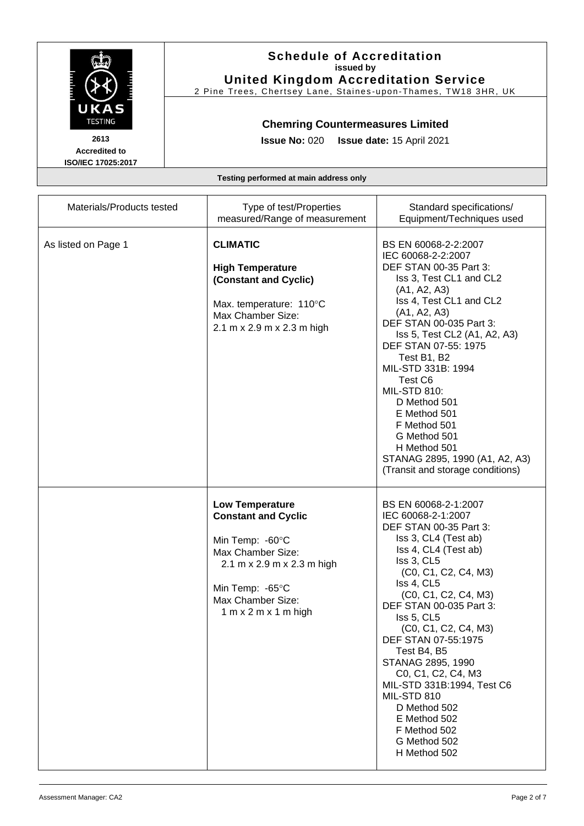

2 Pine Trees, Chertsey Lane, Staines -upon -Thames, TW18 3HR, UK

## **Chemring Countermeasures Limited**

**Issue No:** 020 **Issue date:** 15 April 2021

**Accredited to ISO/IEC 17025:2017**

| Materials/Products tested | Type of test/Properties<br>measured/Range of measurement                                                                                                                                   | Standard specifications/<br>Equipment/Techniques used                                                                                                                                                                                                                                                                                                                                                                                                                           |
|---------------------------|--------------------------------------------------------------------------------------------------------------------------------------------------------------------------------------------|---------------------------------------------------------------------------------------------------------------------------------------------------------------------------------------------------------------------------------------------------------------------------------------------------------------------------------------------------------------------------------------------------------------------------------------------------------------------------------|
| As listed on Page 1       | <b>CLIMATIC</b><br><b>High Temperature</b><br>(Constant and Cyclic)<br>Max. temperature: 110°C<br>Max Chamber Size:<br>2.1 m x 2.9 m x 2.3 m high                                          | BS EN 60068-2-2:2007<br>IEC 60068-2-2:2007<br>DEF STAN 00-35 Part 3:<br>Iss 3, Test CL1 and CL2<br>(A1, A2, A3)<br>Iss 4, Test CL1 and CL2<br>(A1, A2, A3)<br>DEF STAN 00-035 Part 3:<br>Iss 5, Test CL2 (A1, A2, A3)<br>DEF STAN 07-55: 1975<br>Test B1, B2<br>MIL-STD 331B: 1994<br>Test C6<br><b>MIL-STD 810:</b><br>D Method 501<br>E Method 501<br>F Method 501<br>G Method 501<br>H Method 501<br>STANAG 2895, 1990 (A1, A2, A3)<br>(Transit and storage conditions)      |
|                           | <b>Low Temperature</b><br><b>Constant and Cyclic</b><br>Min Temp: -60°C<br>Max Chamber Size:<br>2.1 m x 2.9 m x 2.3 m high<br>Min Temp: -65°C<br>Max Chamber Size:<br>1 m x 2 m x 1 m high | BS EN 60068-2-1:2007<br>IEC 60068-2-1:2007<br>DEF STAN 00-35 Part 3:<br>Iss 3, CL4 (Test ab)<br>Iss 4, CL4 (Test ab)<br>Iss 3, CL5<br>(C0, C1, C2, C4, M3)<br>Iss 4, CL5<br>(C0, C1, C2, C4, M3)<br>DEF STAN 00-035 Part 3:<br>Iss 5, CL5<br>(C0, C1, C2, C4, M3)<br>DEF STAN 07-55:1975<br>Test B4, B5<br>STANAG 2895, 1990<br>C0, C1, C2, C4, M3<br>MIL-STD 331B:1994, Test C6<br>MIL-STD 810<br>D Method 502<br>E Method 502<br>F Method 502<br>G Method 502<br>H Method 502 |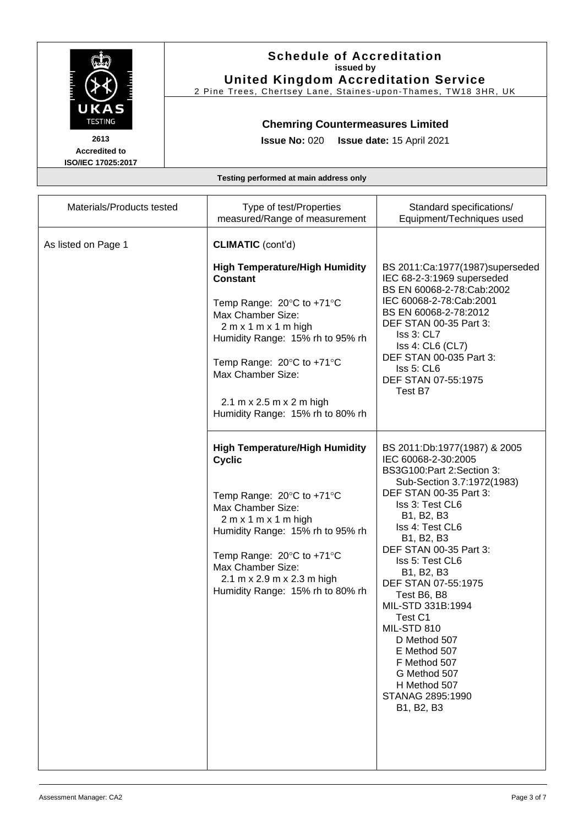

2 Pine Trees, Chertsey Lane, Staines -upon -Thames, TW18 3HR, UK

## **Chemring Countermeasures Limited**

**Issue No:** 020 **Issue date:** 15 April 2021

**Accredited to ISO/IEC 17025:2017**

| Materials/Products tested | Type of test/Properties<br>measured/Range of measurement                                                                                                                                                                                                                                                                                                  | Standard specifications/<br>Equipment/Techniques used                                                                                                                                                                                                                                                                                                                                                                                                                                                              |
|---------------------------|-----------------------------------------------------------------------------------------------------------------------------------------------------------------------------------------------------------------------------------------------------------------------------------------------------------------------------------------------------------|--------------------------------------------------------------------------------------------------------------------------------------------------------------------------------------------------------------------------------------------------------------------------------------------------------------------------------------------------------------------------------------------------------------------------------------------------------------------------------------------------------------------|
| As listed on Page 1       | <b>CLIMATIC</b> (cont'd)<br><b>High Temperature/High Humidity</b><br>Constant<br>Temp Range: $20^{\circ}$ C to +71 $^{\circ}$ C<br>Max Chamber Size:<br>$2 m x 1 m x 1 m$ high<br>Humidity Range: 15% rh to 95% rh<br>Temp Range: $20^{\circ}$ C to +71 $^{\circ}$ C<br>Max Chamber Size:<br>2.1 m x 2.5 m x 2 m high<br>Humidity Range: 15% rh to 80% rh | BS 2011:Ca:1977(1987)superseded<br>IEC 68-2-3:1969 superseded<br>BS EN 60068-2-78:Cab:2002<br>IEC 60068-2-78:Cab:2001<br>BS EN 60068-2-78:2012<br>DEF STAN 00-35 Part 3:<br>Iss 3: CL7<br>Iss 4: CL6 (CL7)<br>DEF STAN 00-035 Part 3:<br>Iss 5: CL6<br>DEF STAN 07-55:1975<br>Test B7                                                                                                                                                                                                                              |
|                           | <b>High Temperature/High Humidity</b><br><b>Cyclic</b><br>Temp Range: 20°C to +71°C<br>Max Chamber Size:<br>$2 m x 1 m x 1 m$ high<br>Humidity Range: 15% rh to 95% rh<br>Temp Range: $20^{\circ}$ C to +71 $^{\circ}$ C<br>Max Chamber Size:<br>2.1 m x 2.9 m x 2.3 m high<br>Humidity Range: 15% rh to 80% rh                                           | BS 2011:Db:1977(1987) & 2005<br>IEC 60068-2-30:2005<br>BS3G100:Part 2:Section 3:<br>Sub-Section 3.7:1972(1983)<br>DEF STAN 00-35 Part 3:<br>Iss 3: Test CL6<br>B1, B2, B3<br>Iss 4: Test CL6<br>B <sub>1</sub> , B <sub>2</sub> , B <sub>3</sub><br>DEF STAN 00-35 Part 3:<br>Iss 5: Test CL6<br>B1, B2, B3<br>DEF STAN 07-55:1975<br>Test B6, B8<br>MIL-STD 331B:1994<br>Test C1<br>MIL-STD 810<br>D Method 507<br>E Method 507<br>F Method 507<br>G Method 507<br>H Method 507<br>STANAG 2895:1990<br>B1, B2, B3 |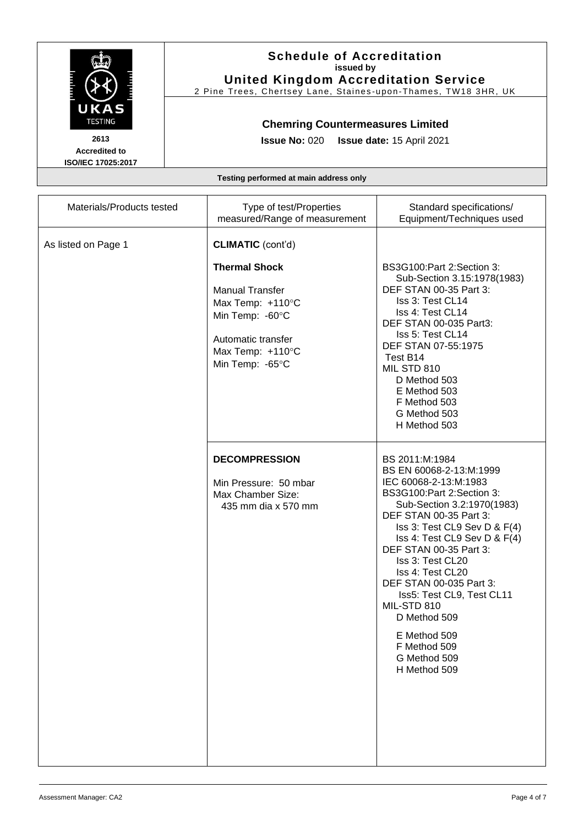

2 Pine Trees, Chertsey Lane, Staines -upon -Thames, TW18 3HR, UK

## **Chemring Countermeasures Limited**

**Issue No:** 020 **Issue date:** 15 April 2021

**Accredited to ISO/IEC 17025:2017**

| Materials/Products tested | Type of test/Properties<br>measured/Range of measurement                                                                                                                       | Standard specifications/<br>Equipment/Techniques used                                                                                                                                                                                                                                                                                                                                                                                            |
|---------------------------|--------------------------------------------------------------------------------------------------------------------------------------------------------------------------------|--------------------------------------------------------------------------------------------------------------------------------------------------------------------------------------------------------------------------------------------------------------------------------------------------------------------------------------------------------------------------------------------------------------------------------------------------|
| As listed on Page 1       | <b>CLIMATIC</b> (cont'd)<br><b>Thermal Shock</b><br><b>Manual Transfer</b><br>Max Temp: +110°C<br>Min Temp: -60°C<br>Automatic transfer<br>Max Temp: +110°C<br>Min Temp: -65°C | BS3G100:Part 2:Section 3:<br>Sub-Section 3.15:1978(1983)<br>DEF STAN 00-35 Part 3:<br>Iss 3: Test CL14<br>Iss 4: Test CL14<br>DEF STAN 00-035 Part3:<br>Iss 5: Test CL14<br>DEF STAN 07-55:1975<br>Test B14<br>MIL STD 810<br>D Method 503<br>E Method 503<br>F Method 503<br>G Method 503<br>H Method 503                                                                                                                                       |
|                           | <b>DECOMPRESSION</b><br>Min Pressure: 50 mbar<br>Max Chamber Size:<br>435 mm dia x 570 mm                                                                                      | BS 2011:M:1984<br>BS EN 60068-2-13:M:1999<br>IEC 60068-2-13:M:1983<br>BS3G100:Part 2:Section 3:<br>Sub-Section 3.2:1970(1983)<br>DEF STAN 00-35 Part 3:<br>Iss 3: Test CL9 Sev D & F(4)<br>Iss 4: Test CL9 Sev D & F(4)<br>DEF STAN 00-35 Part 3:<br>Iss 3: Test CL20<br>Iss 4: Test CL20<br>DEF STAN 00-035 Part 3:<br>Iss5: Test CL9, Test CL11<br>MIL-STD 810<br>D Method 509<br>E Method 509<br>F Method 509<br>G Method 509<br>H Method 509 |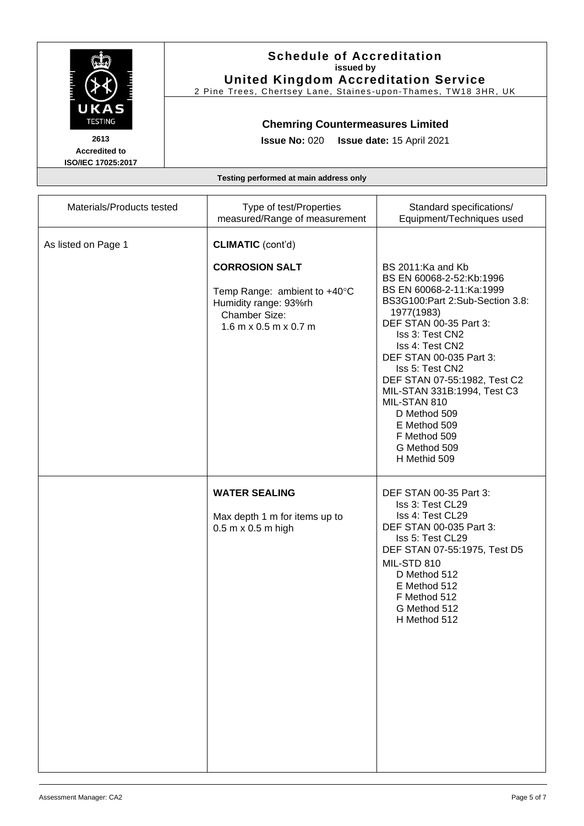| <b>The Property</b><br>KØ<br><b>ESTING</b> | <b>THE PERSON</b> |
|--------------------------------------------|-------------------|
| 2613                                       |                   |

2 Pine Trees, Chertsey Lane, Staines -upon -Thames, TW18 3HR, UK

## **Chemring Countermeasures Limited**

**Issue No:** 020 **Issue date:** 15 April 2021

**Accredited to ISO/IEC 17025:2017**

| Materials/Products tested | Type of test/Properties<br>measured/Range of measurement                                                                                                      | Standard specifications/<br>Equipment/Techniques used                                                                                                                                                                                                                                                                                                                                                   |
|---------------------------|---------------------------------------------------------------------------------------------------------------------------------------------------------------|---------------------------------------------------------------------------------------------------------------------------------------------------------------------------------------------------------------------------------------------------------------------------------------------------------------------------------------------------------------------------------------------------------|
| As listed on Page 1       | <b>CLIMATIC</b> (cont'd)<br><b>CORROSION SALT</b><br>Temp Range: ambient to +40°C<br>Humidity range: 93%rh<br><b>Chamber Size:</b><br>$1.6$ m x 0.5 m x 0.7 m | BS 2011:Ka and Kb<br>BS EN 60068-2-52:Kb:1996<br>BS EN 60068-2-11:Ka:1999<br>BS3G100:Part 2:Sub-Section 3.8:<br>1977(1983)<br>DEF STAN 00-35 Part 3:<br>Iss 3: Test CN2<br>Iss 4: Test CN2<br>DEF STAN 00-035 Part 3:<br>Iss 5: Test CN2<br>DEF STAN 07-55:1982, Test C2<br>MIL-STAN 331B:1994, Test C3<br>MIL-STAN 810<br>D Method 509<br>E Method 509<br>F Method 509<br>G Method 509<br>H Methid 509 |
|                           | <b>WATER SEALING</b><br>Max depth 1 m for items up to<br>0.5 m x 0.5 m high                                                                                   | DEF STAN 00-35 Part 3:<br>Iss 3: Test CL29<br>Iss 4: Test CL29<br>DEF STAN 00-035 Part 3:<br>Iss 5: Test CL29<br>DEF STAN 07-55:1975, Test D5<br>MIL-STD 810<br>D Method 512<br>E Method 512<br>F Method 512<br>G Method 512<br>H Method 512                                                                                                                                                            |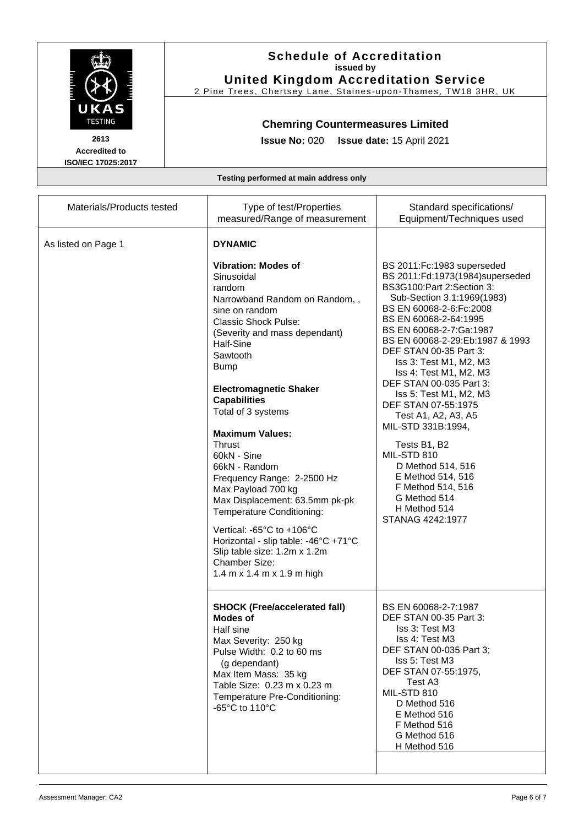

2 Pine Trees, Chertsey Lane, Staines -upon -Thames, TW18 3HR, UK

## **Chemring Countermeasures Limited**

**Issue No:** 020 **Issue date:** 15 April 2021

**Accredited to ISO/IEC 17025:2017**

| Materials/Products tested | Type of test/Properties<br>measured/Range of measurement                                                                                                                                                                                                                                                                                                                                                                                                                                                                                                                                                                                                               | Standard specifications/<br>Equipment/Techniques used                                                                                                                                                                                                                                                                                                                                                                                                                                                                                                                                                 |
|---------------------------|------------------------------------------------------------------------------------------------------------------------------------------------------------------------------------------------------------------------------------------------------------------------------------------------------------------------------------------------------------------------------------------------------------------------------------------------------------------------------------------------------------------------------------------------------------------------------------------------------------------------------------------------------------------------|-------------------------------------------------------------------------------------------------------------------------------------------------------------------------------------------------------------------------------------------------------------------------------------------------------------------------------------------------------------------------------------------------------------------------------------------------------------------------------------------------------------------------------------------------------------------------------------------------------|
| As listed on Page 1       | <b>DYNAMIC</b><br><b>Vibration: Modes of</b><br>Sinusoidal<br>random<br>Narrowband Random on Random,,<br>sine on random<br><b>Classic Shock Pulse:</b><br>(Severity and mass dependant)<br>Half-Sine<br>Sawtooth<br><b>Bump</b><br><b>Electromagnetic Shaker</b><br><b>Capabilities</b><br>Total of 3 systems<br><b>Maximum Values:</b><br><b>Thrust</b><br>60kN - Sine<br>66kN - Random<br>Frequency Range: 2-2500 Hz<br>Max Payload 700 kg<br>Max Displacement: 63.5mm pk-pk<br>Temperature Conditioning:<br>Vertical: -65°C to +106°C<br>Horizontal - slip table: -46°C +71°C<br>Slip table size: 1.2m x 1.2m<br><b>Chamber Size:</b><br>1.4 m x 1.4 m x 1.9 m high | BS 2011:Fc:1983 superseded<br>BS 2011:Fd:1973(1984)superseded<br>BS3G100:Part 2:Section 3:<br>Sub-Section 3.1:1969(1983)<br>BS EN 60068-2-6: Fc: 2008<br>BS EN 60068-2-64:1995<br>BS EN 60068-2-7:Ga:1987<br>BS EN 60068-2-29:Eb:1987 & 1993<br>DEF STAN 00-35 Part 3:<br>Iss 3: Test M1, M2, M3<br>Iss 4: Test M1, M2, M3<br>DEF STAN 00-035 Part 3:<br>Iss 5: Test M1, M2, M3<br>DEF STAN 07-55:1975<br>Test A1, A2, A3, A5<br>MIL-STD 331B:1994,<br>Tests B1, B2<br>MIL-STD 810<br>D Method 514, 516<br>E Method 514, 516<br>F Method 514, 516<br>G Method 514<br>H Method 514<br>STANAG 4242:1977 |
|                           | <b>SHOCK (Free/accelerated fall)</b><br><b>Modes of</b><br>Half sine<br>Max Severity: 250 kg<br>Pulse Width: 0.2 to 60 ms<br>(g dependant)<br>Max Item Mass: 35 kg<br>Table Size: 0.23 m x 0.23 m<br>Temperature Pre-Conditioning:<br>-65°C to 110°C                                                                                                                                                                                                                                                                                                                                                                                                                   | BS EN 60068-2-7:1987<br>DEF STAN 00-35 Part 3:<br>Iss 3: Test M3<br>Iss 4: Test M3<br>DEF STAN 00-035 Part 3;<br>Iss 5: Test M3<br>DEF STAN 07-55:1975,<br>Test A3<br>MIL-STD 810<br>D Method 516<br>E Method 516<br>F Method 516<br>G Method 516<br>H Method 516                                                                                                                                                                                                                                                                                                                                     |